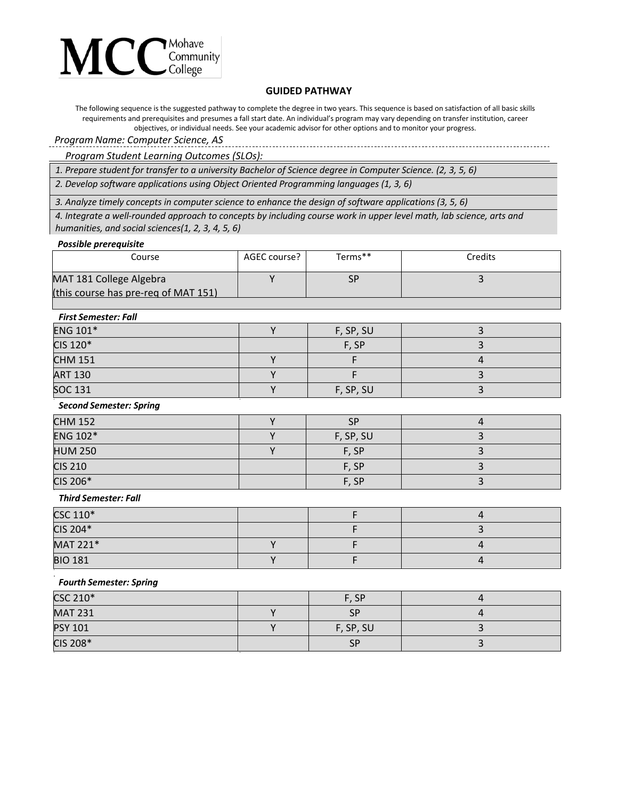

# **GUIDED PATHWAY**

The following sequence is the suggested pathway to complete the degree in two years. This sequence is based on satisfaction of all basic skills requirements and prerequisites and presumes a fall start date. An individual's program may vary depending on transfer institution, career objectives, or individual needs. See your academic advisor for other options and to monitor your progress.

# *Program Name: Computer Science, AS*

*Program Student Learning Outcomes (SLOs):*

*1. Prepare student for transfer to a university Bachelor of Science degree in Computer Science. (2, 3, 5, 6)*

*2. Develop software applications using Object Oriented Programming languages (1, 3, 6)*

*3. Analyze timely concepts in computer science to enhance the design of software applications (3, 5, 6)*

*4. Integrate a well-rounded approach to concepts by including course work in upper level math, lab science, arts and humanities, and social sciences(1, 2, 3, 4, 5, 6)*

#### *Possible prerequisite*

| Course                               | AGEC course? | Terms** | Credits |
|--------------------------------------|--------------|---------|---------|
| MAT 181 College Algebra              |              | SP      |         |
| (this course has pre-reg of MAT 151) |              |         |         |

## *First Semester: Fall*

| <b>ENG 101*</b> | F, SP, SU |  |
|-----------------|-----------|--|
| CIS 120*        | F, SP     |  |
| <b>CHM 151</b>  |           |  |
| <b>ART 130</b>  |           |  |
| <b>SOC 131</b>  | F, SP, SU |  |

## *Second Semester: Spring*

| <b>CHM 152</b>  | <b>SP</b> |  |
|-----------------|-----------|--|
| <b>ENG 102*</b> | F, SP, SU |  |
| <b>HUM 250</b>  | F, SP     |  |
| <b>CIS 210</b>  | F, SP     |  |
| CIS 206*        | F, SP     |  |

#### *Third Semester: Fall*

| CSC 110*       |  |  |
|----------------|--|--|
| CIS 204*       |  |  |
| MAT 221*       |  |  |
| <b>BIO 181</b> |  |  |

#### *Fourth Semester: Spring*

| CSC 210*       | F, SP     |  |
|----------------|-----------|--|
| <b>MAT 231</b> | SP        |  |
| <b>PSY 101</b> | F, SP, SU |  |
| CIS 208*       | <b>SP</b> |  |